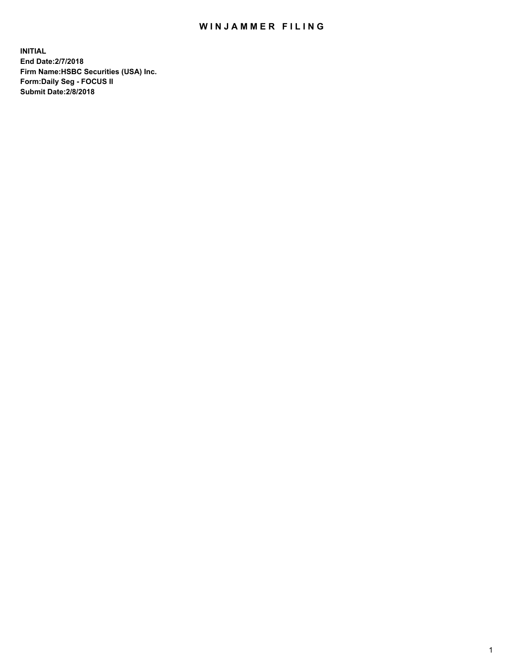## WIN JAMMER FILING

**INITIAL End Date:2/7/2018 Firm Name:HSBC Securities (USA) Inc. Form:Daily Seg - FOCUS II Submit Date:2/8/2018**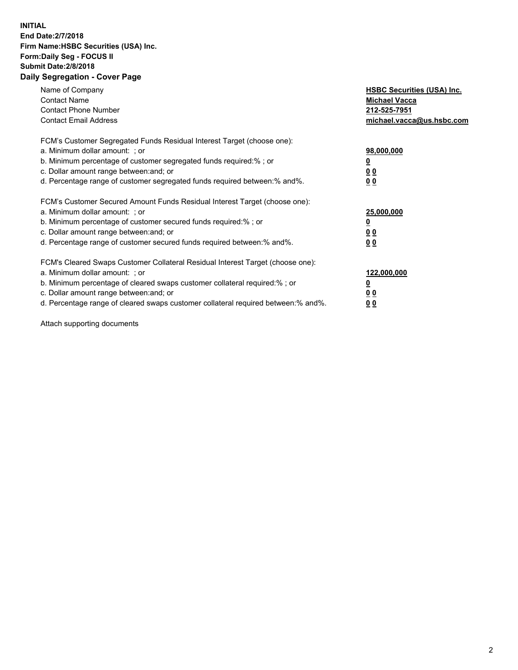## **INITIAL End Date:2/7/2018 Firm Name:HSBC Securities (USA) Inc. Form:Daily Seg - FOCUS II Submit Date:2/8/2018 Daily Segregation - Cover Page**

| Name of Company<br><b>Contact Name</b><br><b>Contact Phone Number</b><br><b>Contact Email Address</b>                                                                                                                                                                                                                         | <b>HSBC Securities (USA) Inc.</b><br><b>Michael Vacca</b><br>212-525-7951<br>michael.vacca@us.hsbc.com |
|-------------------------------------------------------------------------------------------------------------------------------------------------------------------------------------------------------------------------------------------------------------------------------------------------------------------------------|--------------------------------------------------------------------------------------------------------|
| FCM's Customer Segregated Funds Residual Interest Target (choose one):<br>a. Minimum dollar amount: ; or<br>b. Minimum percentage of customer segregated funds required:%; or<br>c. Dollar amount range between: and; or<br>d. Percentage range of customer segregated funds required between: % and %.                       | 98,000,000<br><u>0</u><br><u>00</u><br>00                                                              |
| FCM's Customer Secured Amount Funds Residual Interest Target (choose one):<br>a. Minimum dollar amount: ; or<br>b. Minimum percentage of customer secured funds required:%; or<br>c. Dollar amount range between: and; or<br>d. Percentage range of customer secured funds required between: % and %.                         | 25,000,000<br><u>0</u><br><u>00</u><br>00                                                              |
| FCM's Cleared Swaps Customer Collateral Residual Interest Target (choose one):<br>a. Minimum dollar amount: ; or<br>b. Minimum percentage of cleared swaps customer collateral required:%; or<br>c. Dollar amount range between: and; or<br>d. Percentage range of cleared swaps customer collateral required between:% and%. | 122,000,000<br><u>0</u><br><u>00</u><br><u>00</u>                                                      |

Attach supporting documents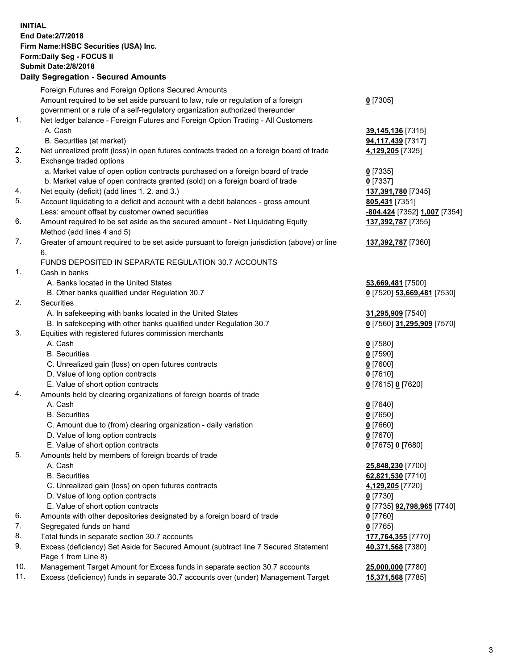**INITIAL End Date:2/7/2018 Firm Name:HSBC Securities (USA) Inc. Form:Daily Seg - FOCUS II Submit Date:2/8/2018 Daily Segregation - Secured Amounts** Foreign Futures and Foreign Options Secured Amounts Amount required to be set aside pursuant to law, rule or regulation of a foreign government or a rule of a self-regulatory organization authorized thereunder **0** [7305] 1. Net ledger balance - Foreign Futures and Foreign Option Trading - All Customers A. Cash **39,145,136** [7315] B. Securities (at market) **94,117,439** [7317] 2. Net unrealized profit (loss) in open futures contracts traded on a foreign board of trade **4,129,205** [7325] 3. Exchange traded options a. Market value of open option contracts purchased on a foreign board of trade **0** [7335] b. Market value of open contracts granted (sold) on a foreign board of trade **0** [7337] 4. Net equity (deficit) (add lines 1. 2. and 3.) **137,391,780** [7345] 5. Account liquidating to a deficit and account with a debit balances - gross amount **805,431** [7351] Less: amount offset by customer owned securities **-804,424** [7352] **1,007** [7354] 6. Amount required to be set aside as the secured amount - Net Liquidating Equity Method (add lines 4 and 5) **137,392,787** [7355] 7. Greater of amount required to be set aside pursuant to foreign jurisdiction (above) or line 6. **137,392,787** [7360] FUNDS DEPOSITED IN SEPARATE REGULATION 30.7 ACCOUNTS 1. Cash in banks A. Banks located in the United States **53,669,481** [7500] B. Other banks qualified under Regulation 30.7 **0** [7520] **53,669,481** [7530] 2. Securities A. In safekeeping with banks located in the United States **31,295,909** [7540] B. In safekeeping with other banks qualified under Regulation 30.7 **0** [7560] **31,295,909** [7570] 3. Equities with registered futures commission merchants A. Cash **0** [7580] B. Securities **0** [7590] C. Unrealized gain (loss) on open futures contracts **0** [7600] D. Value of long option contracts **0** [7610] E. Value of short option contracts **0** [7615] **0** [7620] 4. Amounts held by clearing organizations of foreign boards of trade A. Cash **0** [7640] B. Securities **0** [7650] C. Amount due to (from) clearing organization - daily variation **0** [7660] D. Value of long option contracts **0** [7670] E. Value of short option contracts **0** [7675] **0** [7680] 5. Amounts held by members of foreign boards of trade A. Cash **25,848,230** [7700] B. Securities **62,821,530** [7710] C. Unrealized gain (loss) on open futures contracts **4,129,205** [7720] D. Value of long option contracts **0** [7730] E. Value of short option contracts **0** [7735] **92,798,965** [7740] 6. Amounts with other depositories designated by a foreign board of trade **0** [7760] 7. Segregated funds on hand **0** [7765] 8. Total funds in separate section 30.7 accounts **177,764,355** [7770] 9. Excess (deficiency) Set Aside for Secured Amount (subtract line 7 Secured Statement Page 1 from Line 8) **40,371,568** [7380] 10. Management Target Amount for Excess funds in separate section 30.7 accounts **25,000,000** [7780]

11. Excess (deficiency) funds in separate 30.7 accounts over (under) Management Target **15,371,568** [7785]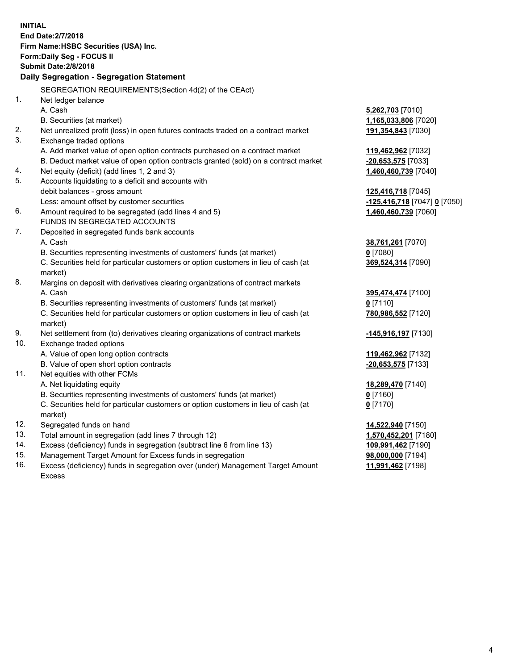| <b>INITIAL</b>                            | End Date: 2/7/2018<br>Firm Name: HSBC Securities (USA) Inc.<br>Form: Daily Seg - FOCUS II      |                              |  |  |
|-------------------------------------------|------------------------------------------------------------------------------------------------|------------------------------|--|--|
|                                           | <b>Submit Date: 2/8/2018</b>                                                                   |                              |  |  |
| Daily Segregation - Segregation Statement |                                                                                                |                              |  |  |
|                                           | SEGREGATION REQUIREMENTS (Section 4d(2) of the CEAct)                                          |                              |  |  |
| 1.                                        | Net ledger balance                                                                             |                              |  |  |
|                                           | A. Cash                                                                                        | 5,262,703 [7010]             |  |  |
|                                           | B. Securities (at market)                                                                      | 1,165,033,806 [7020]         |  |  |
| 2.                                        | Net unrealized profit (loss) in open futures contracts traded on a contract market             | <u>191,354,843</u> [7030]    |  |  |
| 3.                                        | Exchange traded options                                                                        |                              |  |  |
|                                           | A. Add market value of open option contracts purchased on a contract market                    | 119,462,962 [7032]           |  |  |
|                                           | B. Deduct market value of open option contracts granted (sold) on a contract market            | -20,653,575 [7033]           |  |  |
| 4.                                        | Net equity (deficit) (add lines 1, 2 and 3)                                                    | 1,460,460,739 [7040]         |  |  |
| 5.                                        | Accounts liquidating to a deficit and accounts with                                            |                              |  |  |
|                                           | debit balances - gross amount                                                                  | <u>125,416,718</u> [7045]    |  |  |
|                                           | Less: amount offset by customer securities                                                     | -125,416,718 [7047] 0 [7050] |  |  |
| 6.                                        | Amount required to be segregated (add lines 4 and 5)                                           | 1,460,460,739 [7060]         |  |  |
|                                           | <b>FUNDS IN SEGREGATED ACCOUNTS</b>                                                            |                              |  |  |
| 7.                                        | Deposited in segregated funds bank accounts                                                    |                              |  |  |
|                                           | A. Cash                                                                                        | <u>38,761,261</u> [7070]     |  |  |
|                                           | B. Securities representing investments of customers' funds (at market)                         | $0$ [7080]                   |  |  |
|                                           | C. Securities held for particular customers or option customers in lieu of cash (at<br>market) | 369,524,314 [7090]           |  |  |
| 8.                                        | Margins on deposit with derivatives clearing organizations of contract markets                 |                              |  |  |
|                                           | A. Cash                                                                                        | 395,474,474 [7100]           |  |  |
|                                           | B. Securities representing investments of customers' funds (at market)                         | $0$ [7110]                   |  |  |
|                                           | C. Securities held for particular customers or option customers in lieu of cash (at<br>market) | 780,986,552 [7120]           |  |  |
| 9.                                        | Net settlement from (to) derivatives clearing organizations of contract markets                | <u>-145,916,197</u> [7130]   |  |  |
| 10.                                       | Exchange traded options                                                                        |                              |  |  |
|                                           | A. Value of open long option contracts                                                         | 119,462,962 [7132]           |  |  |
|                                           | B. Value of open short option contracts                                                        | -20,653,575 [7133]           |  |  |
| 11.                                       | Net equities with other FCMs                                                                   |                              |  |  |
|                                           | A. Net liquidating equity                                                                      | 18,289,470 [7140]            |  |  |
|                                           | B. Securities representing investments of customers' funds (at market)                         | $0$ [7160]                   |  |  |
|                                           | C. Securities held for particular customers or option customers in lieu of cash (at            | $0$ [7170]                   |  |  |
|                                           | market)                                                                                        |                              |  |  |
| 12.                                       | Segregated funds on hand                                                                       | 14,522,940 [7150]            |  |  |
| 13.                                       | Total amount in segregation (add lines 7 through 12)                                           | 1,570,452,201 [7180]         |  |  |
| 14.                                       | Excess (deficiency) funds in segregation (subtract line 6 from line 13)                        | 109,991,462 [7190]           |  |  |
| 15.                                       | Management Target Amount for Excess funds in segregation                                       | 98,000,000 [7194]            |  |  |

- 16. Excess (deficiency) funds in segregation over (under) Management Target Amount Excess
- **11,991,462** [7198]